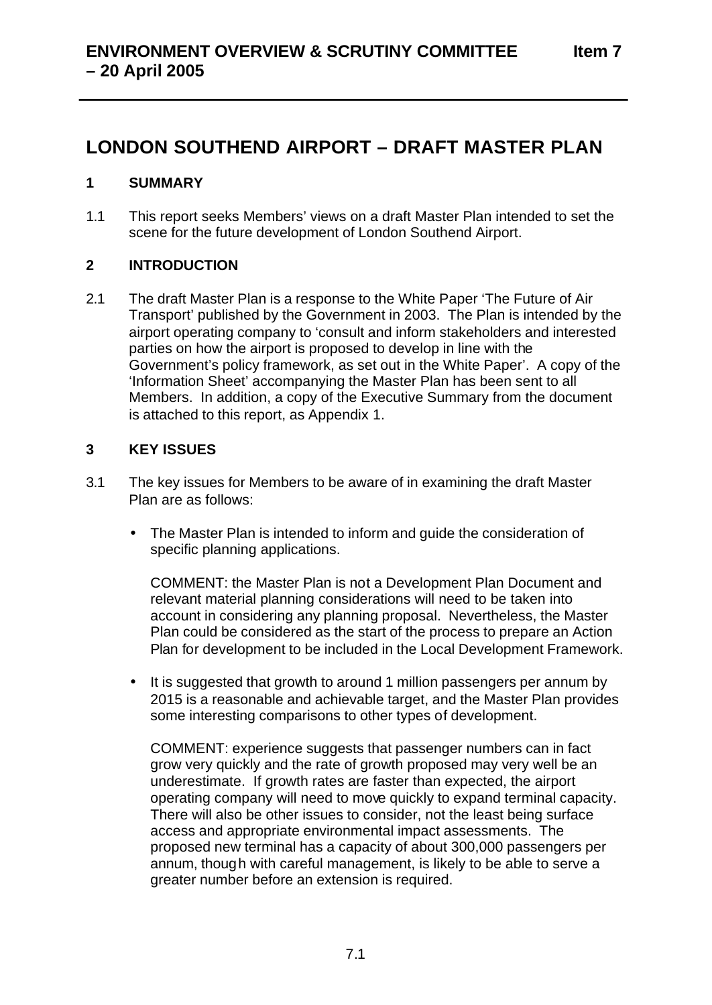# **LONDON SOUTHEND AIRPORT – DRAFT MASTER PLAN**

# **1 SUMMARY**

1.1 This report seeks Members' views on a draft Master Plan intended to set the scene for the future development of London Southend Airport.

# **2 INTRODUCTION**

2.1 The draft Master Plan is a response to the White Paper 'The Future of Air Transport' published by the Government in 2003. The Plan is intended by the airport operating company to 'consult and inform stakeholders and interested parties on how the airport is proposed to develop in line with the Government's policy framework, as set out in the White Paper'. A copy of the 'Information Sheet' accompanying the Master Plan has been sent to all Members. In addition, a copy of the Executive Summary from the document is attached to this report, as Appendix 1.

# **3 KEY ISSUES**

- 3.1 The key issues for Members to be aware of in examining the draft Master Plan are as follows:
	- The Master Plan is intended to inform and guide the consideration of specific planning applications.

COMMENT: the Master Plan is not a Development Plan Document and relevant material planning considerations will need to be taken into account in considering any planning proposal. Nevertheless, the Master Plan could be considered as the start of the process to prepare an Action Plan for development to be included in the Local Development Framework.

It is suggested that growth to around 1 million passengers per annum by 2015 is a reasonable and achievable target, and the Master Plan provides some interesting comparisons to other types of development.

COMMENT: experience suggests that passenger numbers can in fact grow very quickly and the rate of growth proposed may very well be an underestimate. If growth rates are faster than expected, the airport operating company will need to move quickly to expand terminal capacity. There will also be other issues to consider, not the least being surface access and appropriate environmental impact assessments. The proposed new terminal has a capacity of about 300,000 passengers per annum, though with careful management, is likely to be able to serve a greater number before an extension is required.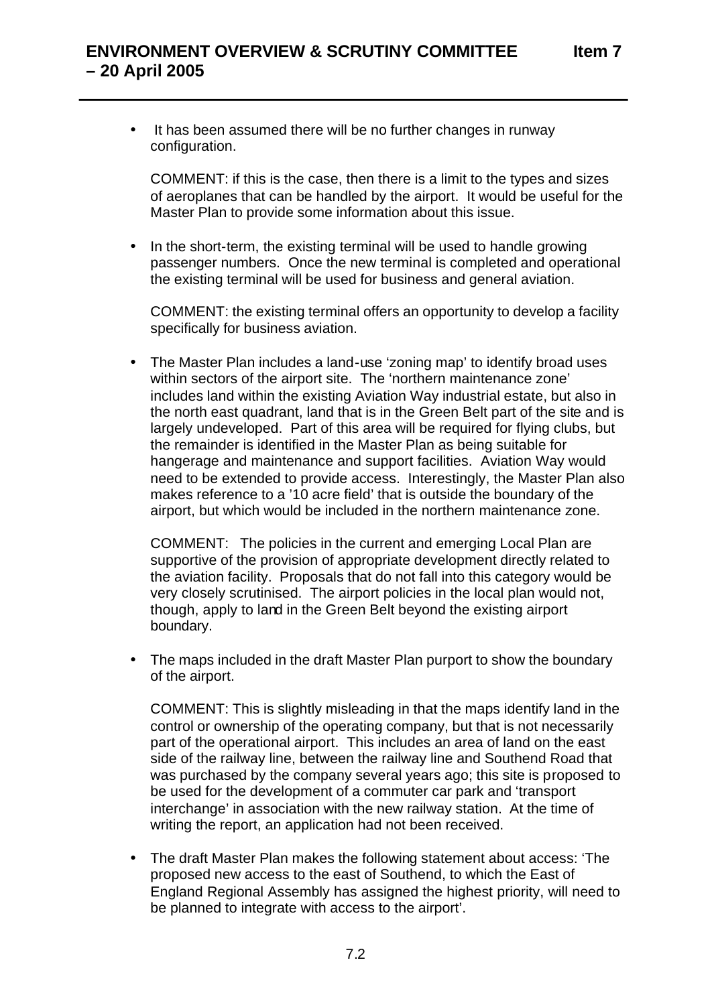It has been assumed there will be no further changes in runway configuration.

COMMENT: if this is the case, then there is a limit to the types and sizes of aeroplanes that can be handled by the airport. It would be useful for the Master Plan to provide some information about this issue.

• In the short-term, the existing terminal will be used to handle growing passenger numbers. Once the new terminal is completed and operational the existing terminal will be used for business and general aviation.

COMMENT: the existing terminal offers an opportunity to develop a facility specifically for business aviation.

• The Master Plan includes a land-use 'zoning map' to identify broad uses within sectors of the airport site. The 'northern maintenance zone' includes land within the existing Aviation Way industrial estate, but also in the north east quadrant, land that is in the Green Belt part of the site and is largely undeveloped. Part of this area will be required for flying clubs, but the remainder is identified in the Master Plan as being suitable for hangerage and maintenance and support facilities. Aviation Way would need to be extended to provide access. Interestingly, the Master Plan also makes reference to a '10 acre field' that is outside the boundary of the airport, but which would be included in the northern maintenance zone.

COMMENT: The policies in the current and emerging Local Plan are supportive of the provision of appropriate development directly related to the aviation facility. Proposals that do not fall into this category would be very closely scrutinised. The airport policies in the local plan would not, though, apply to land in the Green Belt beyond the existing airport boundary.

• The maps included in the draft Master Plan purport to show the boundary of the airport.

COMMENT: This is slightly misleading in that the maps identify land in the control or ownership of the operating company, but that is not necessarily part of the operational airport. This includes an area of land on the east side of the railway line, between the railway line and Southend Road that was purchased by the company several years ago; this site is proposed to be used for the development of a commuter car park and 'transport interchange' in association with the new railway station. At the time of writing the report, an application had not been received.

• The draft Master Plan makes the following statement about access: 'The proposed new access to the east of Southend, to which the East of England Regional Assembly has assigned the highest priority, will need to be planned to integrate with access to the airport'.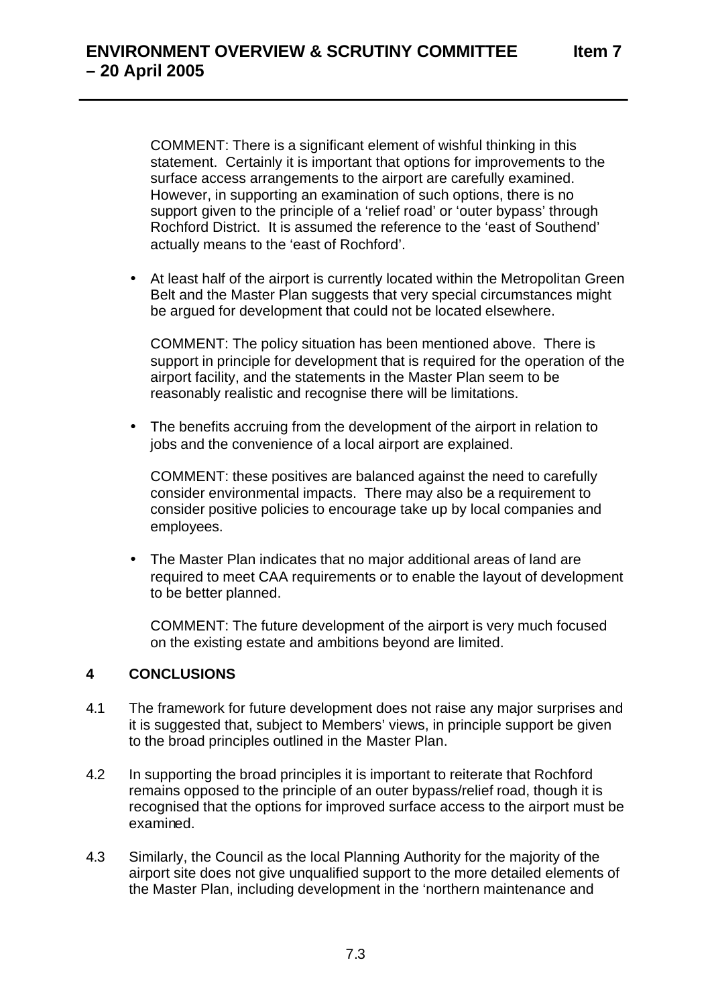COMMENT: There is a significant element of wishful thinking in this statement. Certainly it is important that options for improvements to the surface access arrangements to the airport are carefully examined. However, in supporting an examination of such options, there is no support given to the principle of a 'relief road' or 'outer bypass' through Rochford District. It is assumed the reference to the 'east of Southend' actually means to the 'east of Rochford'.

• At least half of the airport is currently located within the Metropolitan Green Belt and the Master Plan suggests that very special circumstances might be argued for development that could not be located elsewhere.

COMMENT: The policy situation has been mentioned above. There is support in principle for development that is required for the operation of the airport facility, and the statements in the Master Plan seem to be reasonably realistic and recognise there will be limitations.

• The benefits accruing from the development of the airport in relation to jobs and the convenience of a local airport are explained.

COMMENT: these positives are balanced against the need to carefully consider environmental impacts. There may also be a requirement to consider positive policies to encourage take up by local companies and employees.

• The Master Plan indicates that no major additional areas of land are required to meet CAA requirements or to enable the layout of development to be better planned.

COMMENT: The future development of the airport is very much focused on the existing estate and ambitions beyond are limited.

## **4 CONCLUSIONS**

- 4.1 The framework for future development does not raise any major surprises and it is suggested that, subject to Members' views, in principle support be given to the broad principles outlined in the Master Plan.
- 4.2 In supporting the broad principles it is important to reiterate that Rochford remains opposed to the principle of an outer bypass/relief road, though it is recognised that the options for improved surface access to the airport must be examined.
- 4.3 Similarly, the Council as the local Planning Authority for the majority of the airport site does not give unqualified support to the more detailed elements of the Master Plan, including development in the 'northern maintenance and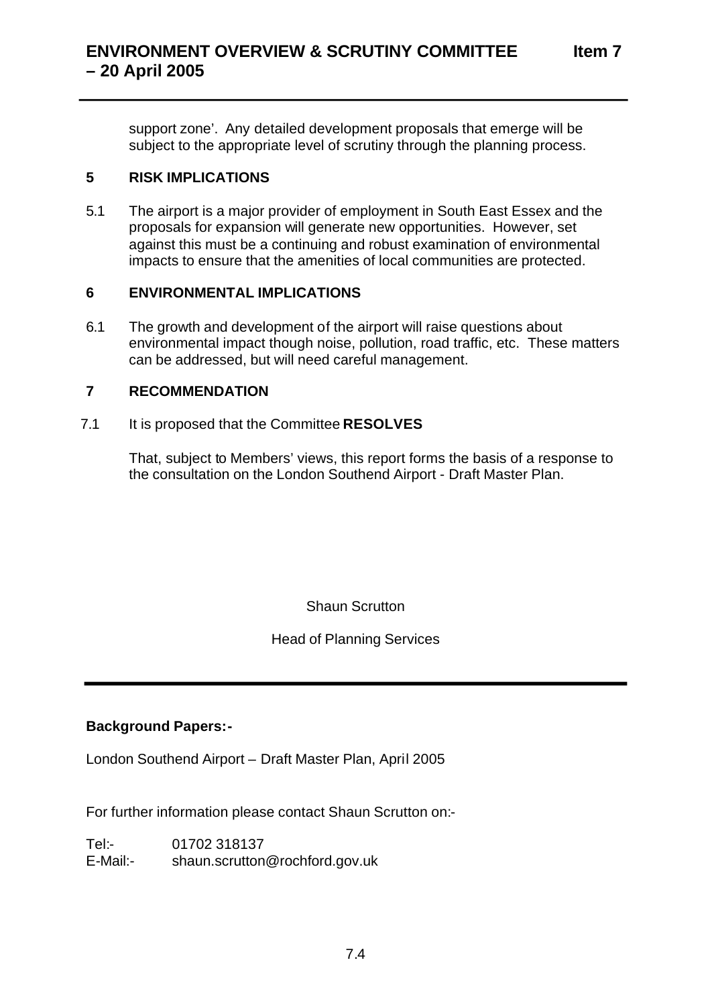support zone'. Any detailed development proposals that emerge will be subject to the appropriate level of scrutiny through the planning process.

## **5 RISK IMPLICATIONS**

5.1 The airport is a major provider of employment in South East Essex and the proposals for expansion will generate new opportunities. However, set against this must be a continuing and robust examination of environmental impacts to ensure that the amenities of local communities are protected.

### **6 ENVIRONMENTAL IMPLICATIONS**

6.1 The growth and development of the airport will raise questions about environmental impact though noise, pollution, road traffic, etc. These matters can be addressed, but will need careful management.

### **7 RECOMMENDATION**

7.1 It is proposed that the Committee **RESOLVES** 

That, subject to Members' views, this report forms the basis of a response to the consultation on the London Southend Airport - Draft Master Plan.

Shaun Scrutton

## Head of Planning Services

## **Background Papers:-**

London Southend Airport – Draft Master Plan, April 2005

For further information please contact Shaun Scrutton on:-

Tel:- 01702 318137 E-Mail:- shaun.scrutton@rochford.gov.uk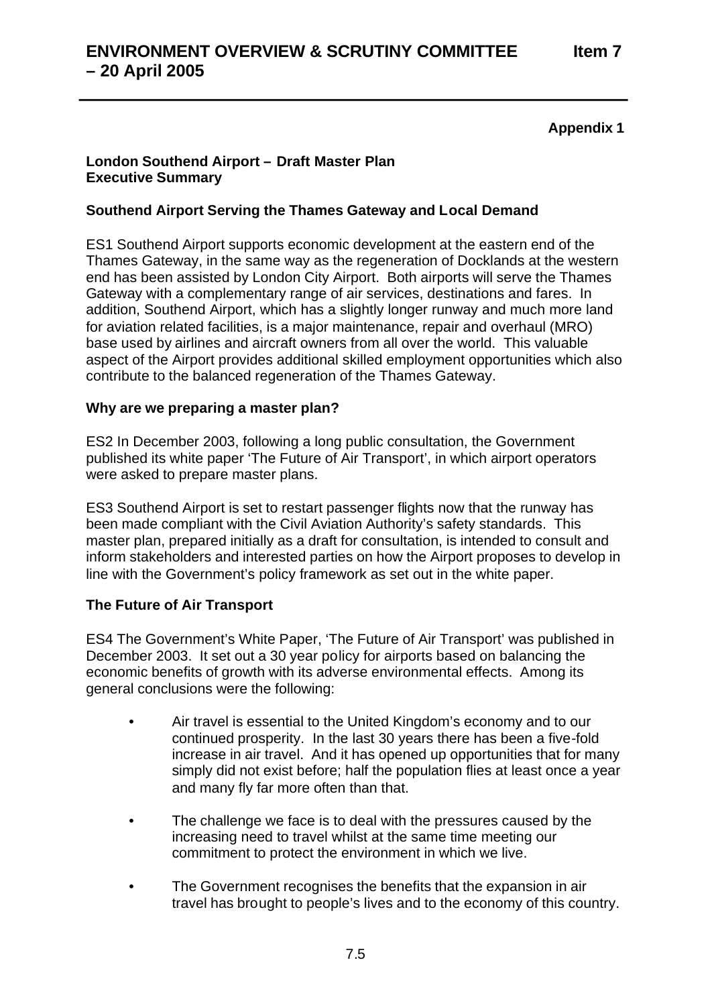## **Appendix 1**

### **London Southend Airport – Draft Master Plan Executive Summary**

## **Southend Airport Serving the Thames Gateway and Local Demand**

ES1 Southend Airport supports economic development at the eastern end of the Thames Gateway, in the same way as the regeneration of Docklands at the western end has been assisted by London City Airport. Both airports will serve the Thames Gateway with a complementary range of air services, destinations and fares. In addition, Southend Airport, which has a slightly longer runway and much more land for aviation related facilities, is a major maintenance, repair and overhaul (MRO) base used by airlines and aircraft owners from all over the world. This valuable aspect of the Airport provides additional skilled employment opportunities which also contribute to the balanced regeneration of the Thames Gateway.

### **Why are we preparing a master plan?**

ES2 In December 2003, following a long public consultation, the Government published its white paper 'The Future of Air Transport', in which airport operators were asked to prepare master plans.

ES3 Southend Airport is set to restart passenger flights now that the runway has been made compliant with the Civil Aviation Authority's safety standards. This master plan, prepared initially as a draft for consultation, is intended to consult and inform stakeholders and interested parties on how the Airport proposes to develop in line with the Government's policy framework as set out in the white paper.

## **The Future of Air Transport**

ES4 The Government's White Paper, 'The Future of Air Transport' was published in December 2003. It set out a 30 year policy for airports based on balancing the economic benefits of growth with its adverse environmental effects. Among its general conclusions were the following:

- Air travel is essential to the United Kingdom's economy and to our continued prosperity. In the last 30 years there has been a five-fold increase in air travel. And it has opened up opportunities that for many simply did not exist before; half the population flies at least once a year and many fly far more often than that.
- The challenge we face is to deal with the pressures caused by the increasing need to travel whilst at the same time meeting our commitment to protect the environment in which we live.
- The Government recognises the benefits that the expansion in air travel has brought to people's lives and to the economy of this country.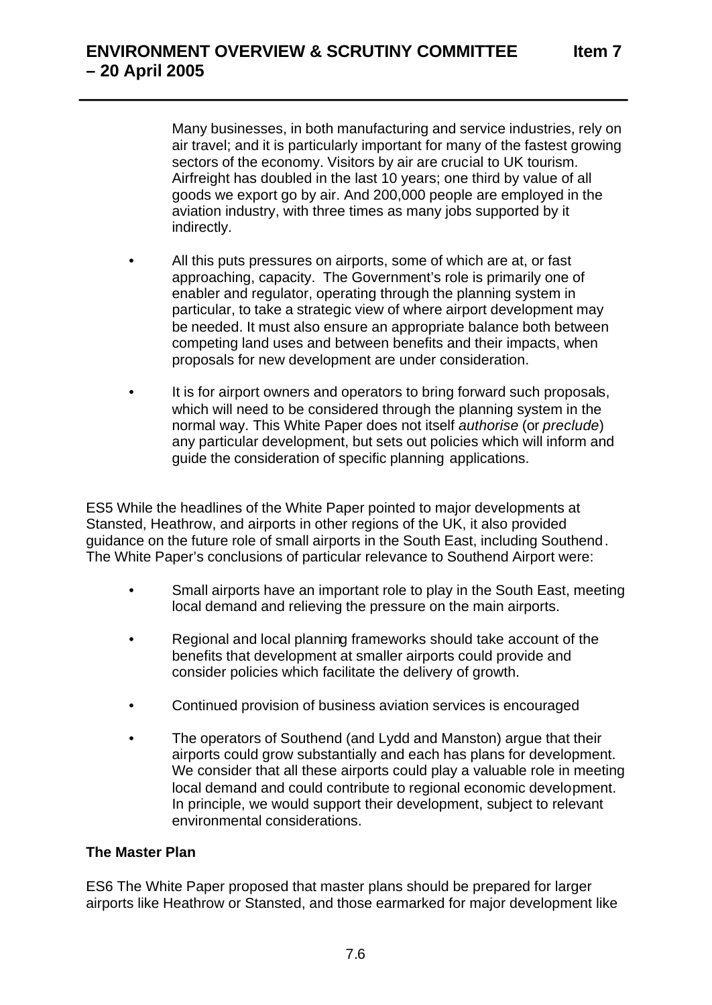Many businesses, in both manufacturing and service industries, rely on air travel; and it is particularly important for many of the fastest growing sectors of the economy. Visitors by air are crucial to UK tourism. Airfreight has doubled in the last 10 years; one third by value of all goods we export go by air. And 200,000 people are employed in the aviation industry, with three times as many jobs supported by it indirectly.

- All this puts pressures on airports, some of which are at, or fast approaching, capacity. The Government's role is primarily one of enabler and regulator, operating through the planning system in particular, to take a strategic view of where airport development may be needed. It must also ensure an appropriate balance both between competing land uses and between benefits and their impacts, when proposals for new development are under consideration.
- It is for airport owners and operators to bring forward such proposals, which will need to be considered through the planning system in the normal way. This White Paper does not itself *authorise* (or *preclude*) any particular development, but sets out policies which will inform and guide the consideration of specific planning applications.

ES5 While the headlines of the White Paper pointed to major developments at Stansted, Heathrow, and airports in other regions of the UK, it also provided guidance on the future role of small airports in the South East, including Southend . The White Paper's conclusions of particular relevance to Southend Airport were:

- Small airports have an important role to play in the South East, meeting local demand and relieving the pressure on the main airports.
- Regional and local planning frameworks should take account of the benefits that development at smaller airports could provide and consider policies which facilitate the delivery of growth.
- Continued provision of business aviation services is encouraged
- The operators of Southend (and Lydd and Manston) argue that their airports could grow substantially and each has plans for development. We consider that all these airports could play a valuable role in meeting local demand and could contribute to regional economic development. In principle, we would support their development, subject to relevant environmental considerations.

#### **The Master Plan**

ES6 The White Paper proposed that master plans should be prepared for larger airports like Heathrow or Stansted, and those earmarked for major development like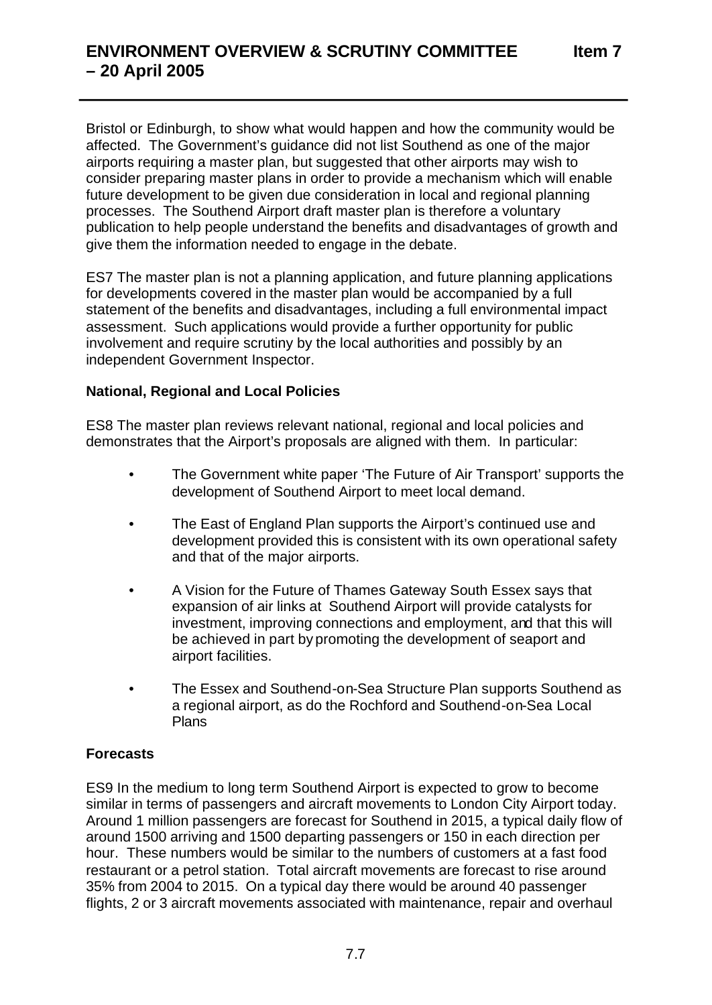Bristol or Edinburgh, to show what would happen and how the community would be affected. The Government's guidance did not list Southend as one of the major airports requiring a master plan, but suggested that other airports may wish to consider preparing master plans in order to provide a mechanism which will enable future development to be given due consideration in local and regional planning processes. The Southend Airport draft master plan is therefore a voluntary publication to help people understand the benefits and disadvantages of growth and give them the information needed to engage in the debate.

ES7 The master plan is not a planning application, and future planning applications for developments covered in the master plan would be accompanied by a full statement of the benefits and disadvantages, including a full environmental impact assessment. Such applications would provide a further opportunity for public involvement and require scrutiny by the local authorities and possibly by an independent Government Inspector.

### **National, Regional and Local Policies**

ES8 The master plan reviews relevant national, regional and local policies and demonstrates that the Airport's proposals are aligned with them. In particular:

- The Government white paper 'The Future of Air Transport' supports the development of Southend Airport to meet local demand.
- The East of England Plan supports the Airport's continued use and development provided this is consistent with its own operational safety and that of the major airports.
- A Vision for the Future of Thames Gateway South Essex says that expansion of air links at Southend Airport will provide catalysts for investment, improving connections and employment, and that this will be achieved in part by promoting the development of seaport and airport facilities.
- The Essex and Southend-on-Sea Structure Plan supports Southend as a regional airport, as do the Rochford and Southend-on-Sea Local Plans

## **Forecasts**

ES9 In the medium to long term Southend Airport is expected to grow to become similar in terms of passengers and aircraft movements to London City Airport today. Around 1 million passengers are forecast for Southend in 2015, a typical daily flow of around 1500 arriving and 1500 departing passengers or 150 in each direction per hour. These numbers would be similar to the numbers of customers at a fast food restaurant or a petrol station. Total aircraft movements are forecast to rise around 35% from 2004 to 2015. On a typical day there would be around 40 passenger flights, 2 or 3 aircraft movements associated with maintenance, repair and overhaul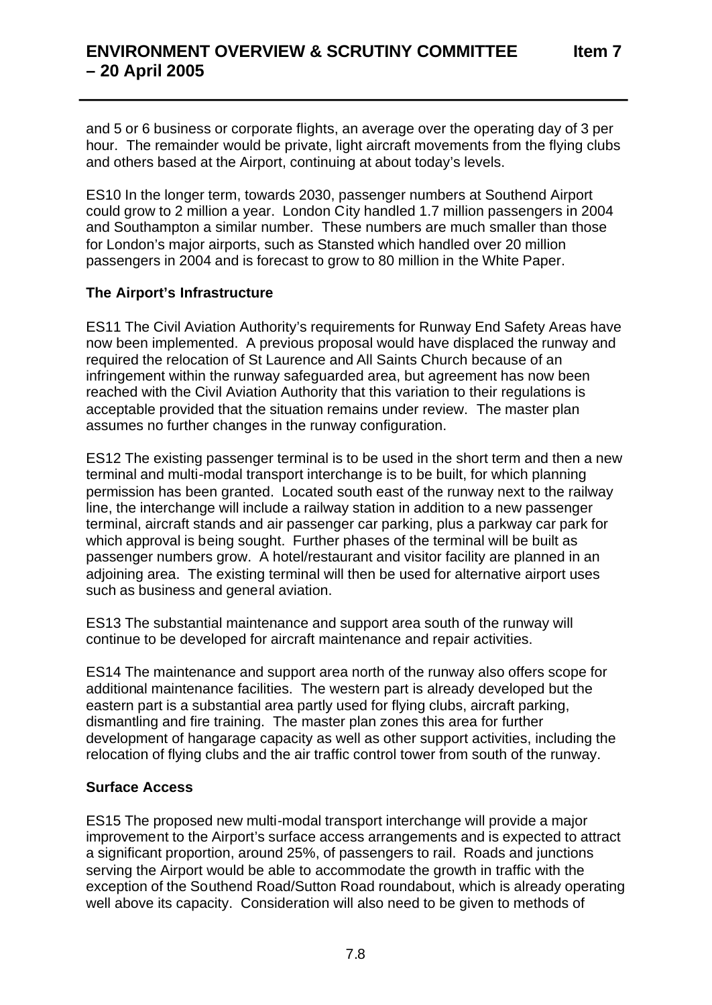and 5 or 6 business or corporate flights, an average over the operating day of 3 per hour. The remainder would be private, light aircraft movements from the flying clubs and others based at the Airport, continuing at about today's levels.

ES10 In the longer term, towards 2030, passenger numbers at Southend Airport could grow to 2 million a year. London City handled 1.7 million passengers in 2004 and Southampton a similar number. These numbers are much smaller than those for London's major airports, such as Stansted which handled over 20 million passengers in 2004 and is forecast to grow to 80 million in the White Paper.

## **The Airport's Infrastructure**

ES11 The Civil Aviation Authority's requirements for Runway End Safety Areas have now been implemented. A previous proposal would have displaced the runway and required the relocation of St Laurence and All Saints Church because of an infringement within the runway safeguarded area, but agreement has now been reached with the Civil Aviation Authority that this variation to their regulations is acceptable provided that the situation remains under review. The master plan assumes no further changes in the runway configuration.

ES12 The existing passenger terminal is to be used in the short term and then a new terminal and multi-modal transport interchange is to be built, for which planning permission has been granted. Located south east of the runway next to the railway line, the interchange will include a railway station in addition to a new passenger terminal, aircraft stands and air passenger car parking, plus a parkway car park for which approval is being sought. Further phases of the terminal will be built as passenger numbers grow. A hotel/restaurant and visitor facility are planned in an adjoining area. The existing terminal will then be used for alternative airport uses such as business and general aviation.

ES13 The substantial maintenance and support area south of the runway will continue to be developed for aircraft maintenance and repair activities.

ES14 The maintenance and support area north of the runway also offers scope for additional maintenance facilities. The western part is already developed but the eastern part is a substantial area partly used for flying clubs, aircraft parking, dismantling and fire training. The master plan zones this area for further development of hangarage capacity as well as other support activities, including the relocation of flying clubs and the air traffic control tower from south of the runway.

## **Surface Access**

ES15 The proposed new multi-modal transport interchange will provide a major improvement to the Airport's surface access arrangements and is expected to attract a significant proportion, around 25%, of passengers to rail. Roads and junctions serving the Airport would be able to accommodate the growth in traffic with the exception of the Southend Road/Sutton Road roundabout, which is already operating well above its capacity. Consideration will also need to be given to methods of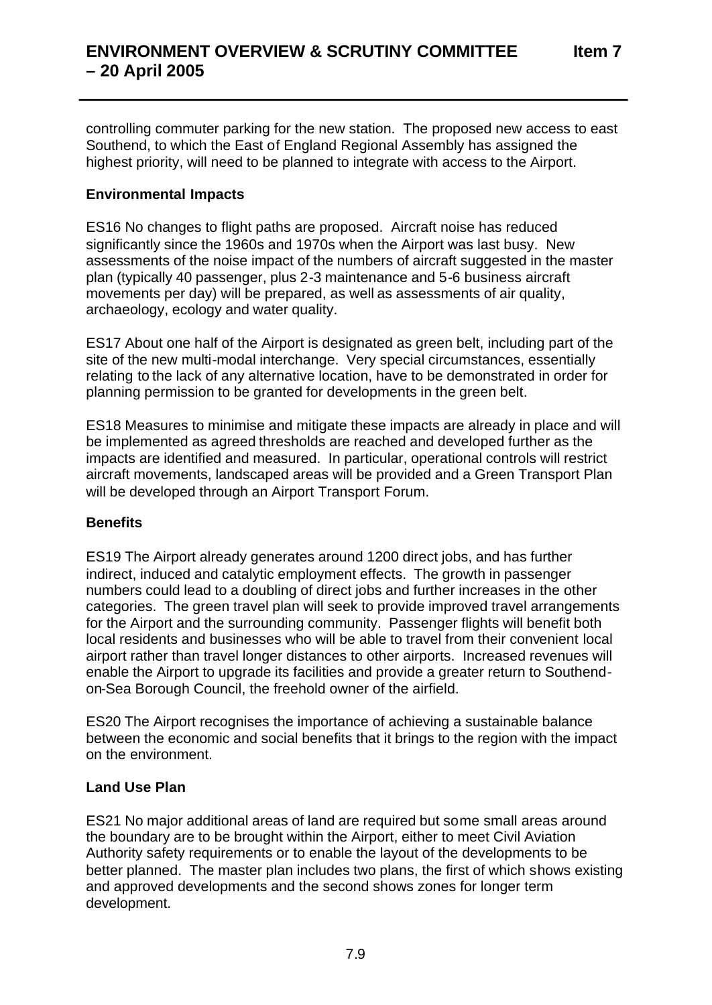controlling commuter parking for the new station. The proposed new access to east Southend, to which the East of England Regional Assembly has assigned the highest priority, will need to be planned to integrate with access to the Airport.

## **Environmental Impacts**

ES16 No changes to flight paths are proposed. Aircraft noise has reduced significantly since the 1960s and 1970s when the Airport was last busy. New assessments of the noise impact of the numbers of aircraft suggested in the master plan (typically 40 passenger, plus 2-3 maintenance and 5-6 business aircraft movements per day) will be prepared, as well as assessments of air quality, archaeology, ecology and water quality.

ES17 About one half of the Airport is designated as green belt, including part of the site of the new multi-modal interchange. Very special circumstances, essentially relating to the lack of any alternative location, have to be demonstrated in order for planning permission to be granted for developments in the green belt.

ES18 Measures to minimise and mitigate these impacts are already in place and will be implemented as agreed thresholds are reached and developed further as the impacts are identified and measured. In particular, operational controls will restrict aircraft movements, landscaped areas will be provided and a Green Transport Plan will be developed through an Airport Transport Forum.

#### **Benefits**

ES19 The Airport already generates around 1200 direct jobs, and has further indirect, induced and catalytic employment effects. The growth in passenger numbers could lead to a doubling of direct jobs and further increases in the other categories. The green travel plan will seek to provide improved travel arrangements for the Airport and the surrounding community. Passenger flights will benefit both local residents and businesses who will be able to travel from their convenient local airport rather than travel longer distances to other airports. Increased revenues will enable the Airport to upgrade its facilities and provide a greater return to Southendon-Sea Borough Council, the freehold owner of the airfield.

ES20 The Airport recognises the importance of achieving a sustainable balance between the economic and social benefits that it brings to the region with the impact on the environment.

#### **Land Use Plan**

ES21 No major additional areas of land are required but some small areas around the boundary are to be brought within the Airport, either to meet Civil Aviation Authority safety requirements or to enable the layout of the developments to be better planned. The master plan includes two plans, the first of which shows existing and approved developments and the second shows zones for longer term development.